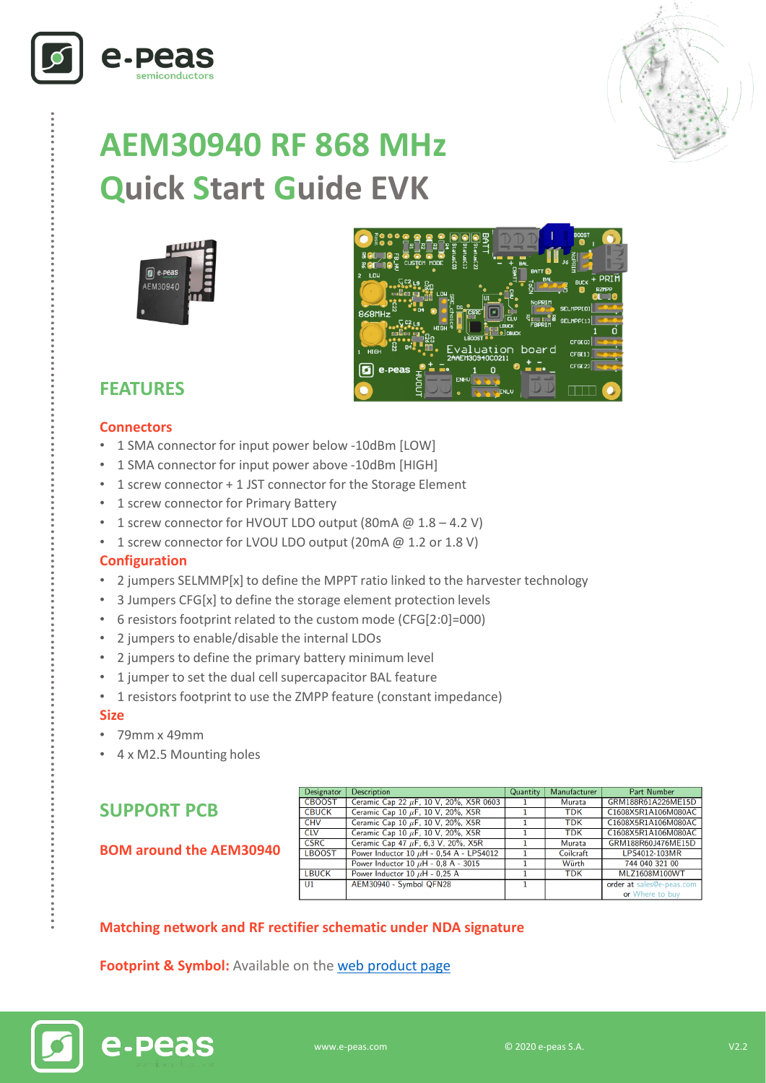



# **AEM30940 RF 868 MHz Quick Start Guide EVK**





# **FEATURES**

#### **Connectors**

- 1 SMA connector for input power below -10dBm [LOW]
- 1 SMA connector for input power above -10dBm [HIGH]
- 1 screw connector + 1 JST connector for the Storage Element
- 1 screw connector for Primary Battery
- 1 screw connector for HVOUT LDO output (80mA  $@1.8-4.2$  V)
- 1 screw connector for LVOU LDO output (20mA @ 1.2 or 1.8 V)

#### **Configuration**

- 2 jumpers SELMMP[x] to define the MPPT ratio linked to the harvester technology
- 3 Jumpers CFG[x] to define the storage element protection levels
- 6 resistors footprint related to the custom mode (CFG[2:0]=000)
- 2 jumpers to enable/disable the internal LDOs
- 2 jumpers to define the primary battery minimum level
- 1 jumper to set the dual cell supercapacitor BAL feature
- 1 resistors footprint to use the ZMPP feature (constant impedance)

#### **Size**

……………………………………………………………….…………………………………………………………..

- 79mm x 49mm
- 4 x M 2 . 5 Mounting holes

### **SUPPORT PCB**

e-peas

#### **BOM around the AEM30940**

| Designator    | <b>Description</b>                           | Quantity | Manufacturer | Part Number               |
|---------------|----------------------------------------------|----------|--------------|---------------------------|
| <b>CBOOST</b> | Ceramic Cap 22 $\mu$ F, 10 V, 20%, X5R 0603  |          | Murata       | GRM188R61A226ME15D        |
| <b>CBUCK</b>  | Ceramic Cap 10 $\mu$ F, 10 V, 20%, X5R       |          | <b>TDK</b>   | C1608X5R1A106M080AC       |
| <b>CHV</b>    | Ceramic Cap 10 $\mu$ F, 10 V, 20%, X5R       |          | <b>TDK</b>   | C1608X5R1A106M080AC       |
| <b>CLV</b>    | Ceramic Cap 10 $\mu$ F, 10 V, 20%, X5R       |          | <b>TDK</b>   | C1608X5R1A106M080AC       |
| <b>CSRC</b>   | Ceramic Cap 47 $\mu$ F, 6,3 V, 20%, X5R      |          | Murata       | GRM188R60J476ME15D        |
| <b>LBOOST</b> | Power Inductor 10 $\mu$ H - 0,54 A - LPS4012 |          | Coilcraft    | LPS4012-103MR             |
|               | Power Inductor 10 $\mu$ H - 0,8 A - 3015     |          | Würth        | 744 040 321 00            |
| <b>LBUCK</b>  | Power Inductor 10 $\mu$ H - 0.25 A           |          | <b>TDK</b>   | MLZ1608M100WT             |
| U1            | AEM30940 - Symbol QFN28                      |          |              | order at sales@e-peas.com |
|               |                                              |          |              | or Where to buy           |

#### **Matching network and RF rectifier schematic under NDA signature**

**Footprint & Symbol :** Available on the web [product](https://e-peas.com/products/energy-harvesting/rf/aem30940-3/#documentation) page